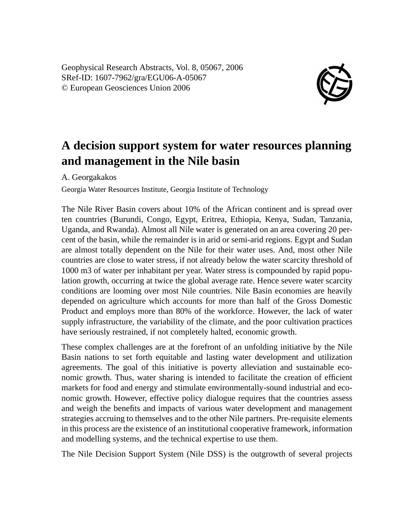Geophysical Research Abstracts, Vol. 8, 05067, 2006 SRef-ID: 1607-7962/gra/EGU06-A-05067 © European Geosciences Union 2006



## **A decision support system for water resources planning and management in the Nile basin**

A. Georgakakos

Georgia Water Resources Institute, Georgia Institute of Technology

The Nile River Basin covers about 10% of the African continent and is spread over ten countries (Burundi, Congo, Egypt, Eritrea, Ethiopia, Kenya, Sudan, Tanzania, Uganda, and Rwanda). Almost all Nile water is generated on an area covering 20 percent of the basin, while the remainder is in arid or semi-arid regions. Egypt and Sudan are almost totally dependent on the Nile for their water uses. And, most other Nile countries are close to water stress, if not already below the water scarcity threshold of 1000 m3 of water per inhabitant per year. Water stress is compounded by rapid population growth, occurring at twice the global average rate. Hence severe water scarcity conditions are looming over most Nile countries. Nile Basin economies are heavily depended on agriculture which accounts for more than half of the Gross Domestic Product and employs more than 80% of the workforce. However, the lack of water supply infrastructure, the variability of the climate, and the poor cultivation practices have seriously restrained, if not completely halted, economic growth.

These complex challenges are at the forefront of an unfolding initiative by the Nile Basin nations to set forth equitable and lasting water development and utilization agreements. The goal of this initiative is poverty alleviation and sustainable economic growth. Thus, water sharing is intended to facilitate the creation of efficient markets for food and energy and stimulate environmentally-sound industrial and economic growth. However, effective policy dialogue requires that the countries assess and weigh the benefits and impacts of various water development and management strategies accruing to themselves and to the other Nile partners. Pre-requisite elements in this process are the existence of an institutional cooperative framework, information and modelling systems, and the technical expertise to use them.

The Nile Decision Support System (Nile DSS) is the outgrowth of several projects